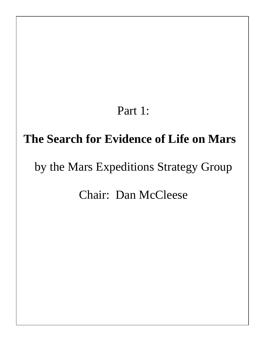# Part 1:

# **The Search for Evidence of Life on Mars**

# by the Mars Expeditions Strategy Group

## Chair: Dan McCleese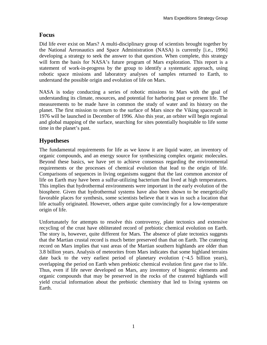#### **Focus**

Did life ever exist on Mars? A multi-disciplinary group of scientists brought together by the National Aeronautics and Space Administration (NASA) is currently [i.e., 1996] developing a strategy to seek the answer to that question. When complete, this strategy will form the basis for NASA's future program of Mars exploration. This report is a statement of work-in-progress by the group to identify a systematic approach, using robotic space missions and laboratory analyses of samples returned to Earth, to understand the possible origin and evolution of life on Mars.

NASA is today conducting a series of robotic missions to Mars with the goal of understanding its climate, resources, and potential for harboring past or present life. The measurements to be made have in common the study of water and its history on the planet. The first mission to return to the surface of Mars since the Viking spacecraft in 1976 will be launched in December of 1996. Also this year, an orbiter will begin regional and global mapping of the surface, searching for sites potentially hospitable to life some time in the planet's past.

### **Hypotheses**

The fundamental requirements for life as we know it are liquid water, an inventory of organic compounds, and an energy source for synthesizing complex organic molecules. Beyond these basics, we have yet to achieve consensus regarding the environmental requirements or the processes of chemical evolution that lead to the origin of life. Comparisons of sequences in living organisms suggest that the last common ancestor of life on Earth may have been a sulfur-utilizing bacterium that lived at high temperatures. This implies that hydrothermal environments were important in the early evolution of the biosphere. Given that hydrothermal systems have also been shown to be energetically favorable places for synthesis, some scientists believe that it was in such a location that life actually originated. However, others argue quite convincingly for a low-temperature origin of life.

Unfortunately for attempts to resolve this controversy, plate tectonics and extensive recycling of the crust have obliterated record of prebiotic chemical evolution on Earth. The story is, however, quite different for Mars. The absence of plate tectonics suggests that the Martian crustal record is much better preserved than that on Earth. The cratering record on Mars implies that vast areas of the Martian southern highlands are older than 3.8 billion years. Analysis of meteorites from Mars indicates that some highland terrains date back to the very earliest period of planetary evolution (~4.5 billion years), overlapping the period on Earth when prebiotic chemical evolution first gave rise to life. Thus, even if life never developed on Mars, any inventory of biogenic elements and organic compounds that may be preserved in the rocks of the cratered highlands will yield crucial information about the prebiotic chemistry that led to living systems on Earth.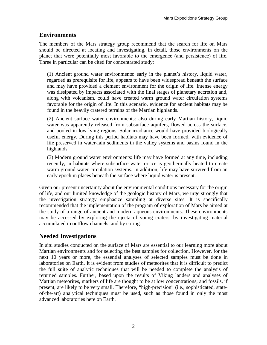#### **Environments**

The members of the Mars strategy group recommend that the search for life on Mars should be directed at locating and investigating, in detail, those environments on the planet that were potentially most favorable to the emergence (and persistence) of life. Three in particular can be cited for concentrated study:

(1) Ancient ground water environments: early in the planet's history, liquid water, regarded as prerequisite for life, appears to have been widespread beneath the surface and may have provided a clement environment for the origin of life. Intense energy was dissipated by impacts associated with the final stages of planetary accretion and, along with volcanism, could have created warm ground water circulation systems favorable for the origin of life. In this scenario, evidence for ancient habitats may be found in the heavily cratered terrains of the Martian highlands.

(2) Ancient surface water environments: also during early Martian history, liquid water was apparently released from subsurface aquifers, flowed across the surface, and pooled in low-lying regions. Solar irradiance would have provided biologically useful energy. During this period habitats may have been formed, with evidence of life preserved in water-lain sediments in the valley systems and basins found in the highlands.

(3) Modern ground water environments: life may have formed at any time, including recently, in habitats where subsurface water or ice is geothermally heated to create warm ground water circulation systems. In addition, life may have survived from an early epoch in places beneath the surface where liquid water is present.

Given our present uncertainty about the environmental conditions necessary for the origin of life, and our limited knowledge of the geologic history of Mars, we urge strongly that the investigation strategy emphasize sampling at diverse sites. It is specifically recommended that the implementation of the program of exploration of Mars be aimed at the study of a range of ancient and modern aqueous environments. These environments may be accessed by exploring the ejecta of young craters, by investigating material accumulated in outflow channels, and by coring.

### **Needed Investigations**

In situ studies conducted on the surface of Mars are essential to our learning more about Martian environments and for selecting the best samples for collection. However, for the next 10 years or more, the essential analyses of selected samples must be done in laboratories on Earth. It is evident from studies of meteorites that it is difficult to predict the full suite of analytic techniques that will be needed to complete the analysis of returned samples. Further, based upon the results of Viking landers and analyses of Martian meteorites, markers of life are thought to be at low concentrations; and fossils, if present, are likely to be very small. Therefore, "high-precision" (i.e., sophisticated, stateof-the-art) analytical techniques must be used, such as those found in only the most advanced laboratories here on Earth.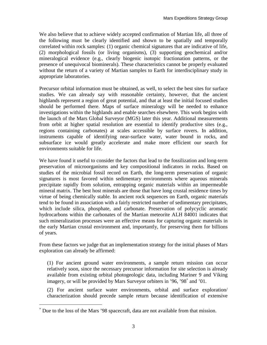We also believe that to achieve widely accepted confirmation of Martian life, all three of the following must be clearly identified and shown to be spatially and temporally correlated within rock samples: (1) organic chemical signatures that are indicative of life, (2) morphological fossils (or living organisms), (3) supporting geochemical and/or mineralogical evidence (e.g., clearly biogenic isotopic fractionation patterns, or the presence of unequivocal biominerals). These characteristics cannot be properly evaluated without the return of a variety of Martian samples to Earth for interdisciplinary study in appropriate laboratories.

Precursor orbital information must be obtained, as well, to select the best sites for surface studies. We can already say with reasonable certainty, however, that the ancient highlands represent a region of great potential, and that at least the initial focused studies should be performed there. Maps of surface mineralogy will be needed to enhance investigations within the highlands and enable searches elsewhere. This work begins with the launch of the Mars Global Surveyor (MGS) later this year. Additional measurements from orbit at higher spatial resolution are essential to identify productive sites (e.g., regions containing carbonates) at scales accessible by surface rovers. In addition, instruments capable of identifying near-surface water, water bound in rocks, and subsurface ice would greatly accelerate and make more efficient our search for environments suitable for life.

We have found it useful to consider the factors that lead to the fossilization and long-term preservation of microorganisms and key compositional indicators in rocks. Based on studies of the microbial fossil record on Earth, the long-term preservation of organic signatures is most favored within sedimentary environments where aqueous minerals precipitate rapidly from solution, entrapping organic materials within an impermeable mineral matrix. The best host minerals are those that have long crustal residence times by virtue of being chemically stable. In ancient rock sequences on Earth, organic materials tend to be found in association with a fairly restricted number of sedimentary precipitates, which include silica, phosphate, and carbonate. Preservation of polycyclic aromatic hydrocarbons within the carbonates of the Martian meteorite ALH 84001 indicates that such mineralization processes were an effective means for capturing organic materials in the early Martian crustal environment and, importantly, for preserving them for billions of years.

From these factors we judge that an implementation strategy for the initial phases of Mars exploration can already be affirmed:

(1) For ancient ground water environments, a sample return mission can occur relatively soon, since the necessary precursor information for site selection is already available from existing orbital photogeologic data, including Mariner 9 and Viking imagery, or will be provided by Mars Surveyor orbiters in '96, '98<sup>∗</sup> and '01.

(2) For ancient surface water environments, orbital and surface exploration/ characterization should precede sample return because identification of extensive

 $\overline{a}$ 

<sup>∗</sup> Due to the loss of the Mars '98 spacecraft, data are not available from that mission.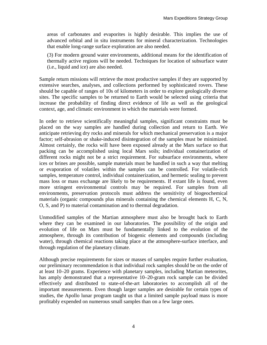areas of carbonates and evaporites is highly desirable. This implies the use of advanced orbital and in situ instruments for mineral characterization. Technologies that enable long-range surface exploration are also needed.

(3) For modern ground water environments, additional means for the identification of thermally active regions will be needed. Techniques for location of subsurface water (i.e., liquid and ice) are also needed.

Sample return missions will retrieve the most productive samples if they are supported by extensive searches, analyses, and collections performed by sophisticated rovers. These should be capable of ranges of 10s of kilometers in order to explore geologically diverse sites. The specific samples to be returned to Earth would be selected using criteria that increase the probability of finding direct evidence of life as well as the geological context, age, and climatic environment in which the materials were formed.

In order to retrieve scientifically meaningful samples, significant constraints must be placed on the way samples are handled during collection and return to Earth. We anticipate retrieving dry rocks and minerals for which mechanical preservation is a major factor; self-abrasion or shake-induced disintegration of the samples must be minimized. Almost certainly, the rocks will have been exposed already at the Mars surface so that packing can be accomplished using local Mars soils; individual containerization of different rocks might not be a strict requirement. For subsurface environments, where ices or brines are possible, sample materials must be handled in such a way that melting or evaporation of volatiles within the samples can be controlled. For volatile-rich samples, temperature control, individual containerization, and hermetic sealing to prevent mass loss or mass exchange are likely to be requirements. If extant life is found, even more stringent environmental controls may be required. For samples from all environments, preservation protocols must address the sensitivity of biogeochemical materials (organic compounds plus minerals containing the chemical elements H, C, N, O, S, and P) to material contamination and to thermal degradation.

Unmodified samples of the Martian atmosphere must also be brought back to Earth where they can be examined in our laboratories. The possibility of the origin and evolution of life on Mars must be fundamentally linked to the evolution of the atmosphere, through its contribution of biogenic elements and compounds (including water), through chemical reactions taking place at the atmosphere-surface interface, and through regulation of the planetary climate.

Although precise requirements for sizes or masses of samples require further evaluation, our preliminary recommendation is that individual rock samples should be on the order of at least 10–20 grams. Experience with planetary samples, including Martian meteorites, has amply demonstrated that a representative 10–20-gram rock sample can be divided effectively and distributed to state-of-the-art laboratories to accomplish all of the important measurements. Even though larger samples are desirable for certain types of studies, the Apollo lunar program taught us that a limited sample payload mass is more profitably expended on numerous small samples than on a few large ones.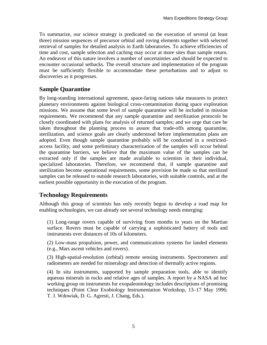To summarize, our science strategy is predicated on the execution of several (at least three) mission sequences of precursor orbital and roving elements together with selected retrieval of samples for detailed analysis in Earth laboratories. To achieve efficiencies of time and cost, sample selection and caching may occur at more sites than sample return. An endeavor of this nature involves a number of uncertainties and should be expected to encounter occasional setbacks. The overall structure and implementation of the program must be sufficiently flexible to accommodate these perturbations and to adjust to discoveries as it progresses.

### **Sample Quarantine**

By long-standing international agreement, space-faring nations take measures to protect planetary environments against biological cross-contamination during space exploration missions. We assume that some level of sample quarantine will be included in mission requirements. We recommend that any sample quarantine and sterilization protocols be closely coordinated with plans for analysis of returned samples; and we urge that care be taken throughout the planning process to assure that trade-offs among quarantine, sterilization, and science goals are clearly understood before implementation plans are adopted. Even though sample quarantine probably will be conducted in a restrictedaccess facility, and some preliminary characterization of the samples will occur behind the quarantine barriers, we believe that the maximum value of the samples can be extracted only if the samples are made available to scientists in their individual, specialized laboratories. Therefore, we recommend that, if sample quarantine and sterilization become operational requirements, some provision be made so that sterilized samples can be released to outside research laboratories, with suitable controls, and at the earliest possible opportunity in the execution of the program.

### **Technology Requirements**

Although this group of scientists has only recently begun to develop a road map for enabling technologies, we can already see several technology needs emerging:

(1) Long-range rovers capable of surviving from months to years on the Martian surface. Rovers must be capable of carrying a sophisticated battery of tools and instruments over distances of 10s of kilometers.

(2) Low-mass propulsion, power, and communications systems for landed elements (e.g., Mars ascent vehicles and rovers).

(3) High-spatial-resolution (orbital) remote sensing instruments. Spectrometers and radiometers are needed for mineralogy and detection of thermally active regions.

(4) In situ instruments, supported by sample preparation tools, able to identify aqueous minerals in rocks and relative ages of samples. A report by a NASA ad hoc working group on instruments for exopaleontology includes descriptions of promising techniques (Point Clear Exobiology Instrumentation Workshop, 13–17 May 1996; T. J. Wdowiak, D. G. Agresti, J. Chang, Eds.).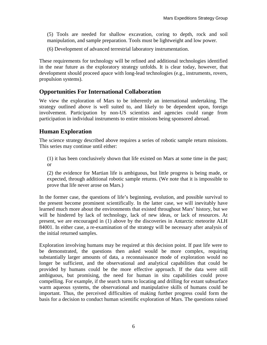(5) Tools are needed for shallow excavation, coring to depth, rock and soil manipulation, and sample preparation. Tools must be lightweight and low power.

(6) Development of advanced terrestrial laboratory instrumentation.

These requirements for technology will be refined and additional technologies identified in the near future as the exploratory strategy unfolds. It is clear today, however, that development should proceed apace with long-lead technologies (e.g., instruments, rovers, propulsion systems).

#### **Opportunities For International Collaboration**

We view the exploration of Mars to be inherently an international undertaking. The strategy outlined above is well suited to, and likely to be dependent upon, foreign involvement. Participation by non-US scientists and agencies could range from participation in individual instruments to entire missions being sponsored abroad.

#### **Human Exploration**

The science strategy described above requires a series of robotic sample return missions. This series may continue until either:

(1) it has been conclusively shown that life existed on Mars at some time in the past; or

(2) the evidence for Martian life is ambiguous, but little progress is being made, or expected, through additional robotic sample returns. (We note that it is impossible to prove that life never arose on Mars.)

In the former case, the questions of life's beginning, evolution, and possible survival to the present become prominent scientifically. In the latter case, we will inevitably have learned much more about the environments that existed throughout Mars' history, but we will be hindered by lack of technology, lack of new ideas, or lack of resources. At present, we are encouraged in (1) above by the discoveries in Antarctic meteorite ALH 84001. In either case, a re-examination of the strategy will be necessary after analysis of the initial returned samples.

Exploration involving humans may be required at this decision point. If past life were to be demonstrated, the questions then asked would be more complex, requiring substantially larger amounts of data, a reconnaissance mode of exploration would no longer be sufficient, and the observational and analytical capabilities that could be provided by humans could be the more effective approach. If the data were still ambiguous, but promising, the need for human in situ capabilities could prove compelling. For example, if the search turns to locating and drilling for extant subsurface warm aqueous systems, the observational and manipulative skills of humans could be important. Thus, the perceived difficulties of making further progress could form the basis for a decision to conduct human scientific exploration of Mars. The questions raised